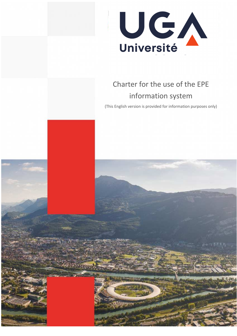# **Univ. Grenoble Alpes** Université de l'innovation

# Charter for the use of the EPE information system

(This English version is provided for information purposes only)

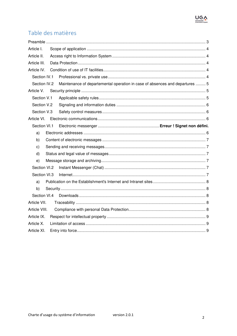

# Table des matières

| Article I.    |                                                                              |  |
|---------------|------------------------------------------------------------------------------|--|
| Article II.   |                                                                              |  |
| Article III.  |                                                                              |  |
| Article IV.   |                                                                              |  |
| Section IV.1  |                                                                              |  |
| Section IV.2  | Maintenance of departemental operation in case of absences and departures  5 |  |
| Article V.    |                                                                              |  |
| Section V.1   |                                                                              |  |
| Section V.2   |                                                                              |  |
| Section V.3   |                                                                              |  |
| Article VI.   |                                                                              |  |
| Section VI.1  |                                                                              |  |
| a)            |                                                                              |  |
| b)            |                                                                              |  |
| c)            |                                                                              |  |
| d)            |                                                                              |  |
| e)            |                                                                              |  |
| Section VI.2  |                                                                              |  |
| Section VI.3  |                                                                              |  |
| a)            |                                                                              |  |
| b)            |                                                                              |  |
| Section VI.4  |                                                                              |  |
| Article VII.  |                                                                              |  |
| Article VIII. |                                                                              |  |
| Article IX.   |                                                                              |  |
| Article X.    |                                                                              |  |
| Article XI.   |                                                                              |  |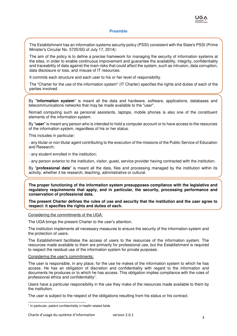

#### **Preamble**

The Establishment has an information systems security policy (PSSI) consistent with the State's PSSI (Prime Minister's Circular No. 5725/SG of July 17, 2014):

The aim of the policy is to define a precise framework for managing the security of information systems at the sites, in order to enable continuous improvement and guarantee the availability, integrity, confidentiality and traceability of data against the main risks that could affect the system, such as intrusion, data corruption, data disclosure or loss, and misuse of IT resources.

It commits each structure and each user to his or her level of responsibility.

The "Charter for the use of the information system" (IT Charter) specifies the rights and duties of each of the parties involved.

By "**information system**" is meant all the data and hardware, software, applications, databases and telecommunications networks that may be made available to the "user".

Nomad computing such as personal assistants, laptops, mobile phones is also one of the constituent elements of the information system.

By "**user**" is meant any person who is intended to hold a computer account or to have access to the resources of the information system, regardless of his or her status.

This includes in particular:

- any titular or non titular agent contributing to the execution of the missions of the Public Service of Education and Research;

- any student enrolled in the institution;

- any person exterior to the institution, visitor, guest, service provider having contracted with the institution.

By "**professional data**" is meant all the data, files and processing managed by the institution within its activity, whether it be research, teaching, administrative or cultural.

**The proper functioning of the information system presupposes compliance with the legislative and regulatory requirements that apply, and in particular, the security, processing performance and conservation of professional data.** 

**The present Charter defines the rules of use and security that the institution and the user agree to respect: it specifies the rights and duties of each.** 

Considering the commitments of the UGA:

The UGA brings the present Charter to the user's attention.

The institution implements all necessary measures to ensure the security of the information system and the protection of users.

The Establishment facilitates the access of users to the resources of the information system. The resources made available to them are primarily for professional use, but the Establishment is required to respect the residual use of the information system for private purposes.

#### Considering the user's commitments:

The user is responsible, in any place, for the use he makes of the information system to which he has access. He has an obligation of discretion and confidentiality with regard to the information and documents he produces or to which he has access. This obligation implies compliance with the rules of professional ethics and confidentiality<sup>1</sup> .

Users have a particular responsibility in the use they make of the resources made available to them by the institution.

The user is subject to the respect of the obligations resulting from his status or his contract.

<sup>&</sup>lt;sup>1</sup> In particular, patient confidentiality in health related fields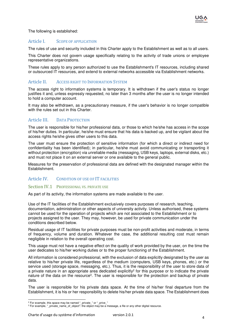

The following is established:

#### Article I. SCOPE OF APPLICATION

The rules of use and security included in this Charter apply to the Establishment as well as to all users.

This Charter does not govern usage specifically relating to the activity of trade unions or employee representative organizations.

These rules apply to any person authorized to use the Establishment's IT resources, including shared or outsourced IT resources, and extend to external networks accessible via Establishment networks.

## Article II. ACCESS RIGHT TO INFORMATION SYSTEM

The access right to information systems is temporary. It is withdrawn if the user's status no longer justifies it and, unless expressly requested, no later than 3 months after the user is no longer intended to hold a computer account.

It may also be withdrawn, as a precautionary measure, if the user's behavior is no longer compatible with the rules set out in this Charter.

# Article III. DATA PROTECTION

The user is responsible for his/her professional data, or those to which he/she has access in the scope of his/her duties. In particular, he/she must ensure that his data is backed up, and be vigilant about the access rights he/she gives other users to this data.

The user must ensure the protection of sensitive information (for which a direct or indirect need for confidentiality has been identified); in particular, he/she must avoid communicating or transporting it without protection (encryption) via unreliable media (messaging, USB keys, laptops, external disks, etc.) and must not place it on an external server or one available to the general public.

Measures for the preservation of professional data are defined with the designated manager within the Establishment.

# Article IV. CONDITION OF USE OF IT FACILITIES

#### Section IV.1 PROFESSIONAL VS. PRIVATE USE

As part of its activity, the information systems are made available to the user.

Use of the IT facilities of the Establishment exclusively covers purposes of research, teaching, documentation, administration or other aspects of university activity. Unless authorised, these systems cannot be used for the operation of projects which are not associated to the Establishment or to projects assigned to the user. They may, however, be used for private communication under the conditions described below.

Residual usage of IT facilities for private purposes must be non-profit activities and moderate, in terms of frequency, volume and duration. Whatever the case, the additional resulting cost must remain negligible in relation to the overall operating cost.

This usage must not have a negative effect on the quality of work provided by the user, on the time the user dedicates to his/her working duties or to the proper functioning of the Establishment.

All information is considered professional, with the exclusion of data explicitly designated by the user as relative to his/her private life, regardless of the medium (computers, USB keys, phones, etc.) or the service used (storage space, messaging, etc.). Thus, it is the responsibility of the user to store data of a private nature in an appropriate area dedicated explicitly<sup>2</sup> for this purpose or to indicate the private nature of the data on the resource<sup>3</sup>. The user is responsible for the protection and backup of private data.

The user is responsible for his private data space. At the time of his/her final departure from the Establishment, it is his or her responsibility to delete his/her private data space. The Establishment does

<sup>&</sup>lt;sup>2</sup> For example, this space may be named "\_private\_" or "\_prive\_"<br><sup>3</sup> For example, "\_private\_name\_of\_object": the object may be a message, a file or any other digital resource.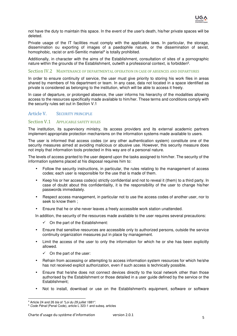

not have the duty to maintain this space. In the event of the user's death, his/her private spaces will be deleted.

Private usage of the IT facilities must comply with the applicable laws. In particular, the storage, dissemination ou exporting of images of a paedophile nature, or the dissemination of sexist, homophobic, racist or anti-Semitic material<sup>4</sup> is totally prohibited.

Additionally, in character with the aims of the Establishment, consultation of sites of a pornographic nature within the grounds of the Establishment, outwith a professional context, is forbidden<sup>5</sup>.

#### Section IV.2 MAINTENANCE OF DEPARTMENTAL OPERATION IN CASE OF ABSENCES AND DEPARTURES

In order to ensure continuity of service, the user must give priority to storing his work files in areas shared by members of his department or team. In any case, data not located in a space identified as private is considered as belonging to the institution, which will be able to access it freely.

In case of departure, or prolonged absence, the user informs his hierarchy of the modalities allowing access to the resources specifically made available to him/her. These terms and conditions comply with the security rules set out in Section V.1

#### Article V. SECURITY PRINCIPLE

#### Section V.1 APPLICABLE SAFETY RULES

The institution, its supervisory ministry, its access providers and its external academic partners implement appropriate protection mechanisms on the information systems made available to users.

The user is informed that access codes (or any other authentication system) constitute one of the security measures aimed at avoiding malicious or abusive use. However, this security measure does not imply that information tools protected in this way are of a personal nature.

The levels of access granted to the user depend upon the tasks assigned to him/her. The security of the information systems placed at his disposal requires him to:

- Follow the security instructions, in particular, the rules relating to the management of access codes; each user is responsible for the use that is made of them.
- Keep his or her access code(s) strictly confidential and not to reveal it (them) to a third party. In case of doubt about this confidentiality, it is the responsibility of the user to change his/her passwords immediately.
- Respect access management, in particular not to use the access codes of another user, nor to seek to know them ;
- Ensure that he or she never leaves a freely accessible work station unattended.

In addition, the security of the resources made available to the user requires several precautions:

- $\checkmark$  On the part of the Establishment:
- Ensure that sensitive resources are accessible only to authorized persons, outside the service continuity organization measures put in place by management.
- Limit the access of the user to only the information for which he or she has been explicitly allowed.
	- $\checkmark$  On the part of the user:
- Refrain from accessing or attempting to access information system resources for which he/she has not received explicit authorization, even if such access is technically possible.
- Ensure that he/she does not connect devices directly to the local network other than those authorised by the Establishment or those detailed in a user guide defined by the service or the Establishment;
- Not to install, download or use on the Establishment's equipment, software or software

<sup>&</sup>lt;sup>4</sup> Article 24 and 26 bis of "Loi du 29 juillet 1881".

<sup>&</sup>lt;sup>5</sup> Code Pénal (Penal Code), article L 323-1 and subsq. articles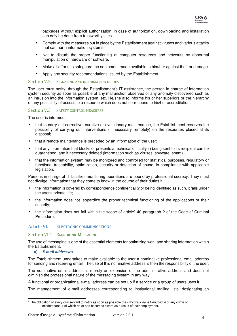

packages without explicit authorization; in case of authorization, downloading and installation can only be done from trustworthy sites.

- Comply with the measures put in place by the Establishment against viruses and various attacks that can harm information systems.
- Not to disturb the proper functioning of computer resources and networks by abnormal manipulation of hardware or software.
- Make all efforts to safeguard the equipment made available to him/her against theft or damage.
- Apply any security recommendations issued by the Establishment.

#### Section V.2 SIGNALING AND INFORMATION DUTIES

The user must notify, through the Establishment's IT assistance, the person in charge of information system security as soon as possible of any malfunction observed or any anomaly discovered such as an intrusion into the information system, etc. He/she also informs his or her superiors or the hierarchy of any possibility of access to a resource which does not correspond to his/her accreditation.

### Section V.3 SAFETY CONTROL MEASURES

The user is informed:

- that to carry out corrective, curative or evolutionary maintenance, the Establishment reserves the possibility of carrying out interventions (if necessary remotely) on the resources placed at its disposal;
- that a remote maintenance is preceded by an information of the user;
- that any information that blocks or presents a technical difficulty in being sent to its recipient can be quarantined, and if necessary deleted (information such as viruses, spyware, spam).
- that the information system may be monitored and controlled for statistical purposes, regulatory or functional traceability, optimization, security or detection of abuse, in compliance with applicable legislation.

Persons in charge of IT facilities monitoring operations are bound by professional secrecy. They must not divulge information that they come to know in the course of their duties if:

- the information is covered by correspondence confidentiality or being identified as such, it falls under the user's private life;
- the information does not jeopardize the proper technical functioning of the applications or their security;
- the information does not fall within the scope of article<sup>6</sup> 40 paragraph 2 of the Code of Criminal Procedure.

# Article VI. ELECTRONIC COMMUNICATIONS

#### Section VI.1 ELECTRONIC MESSAGING

The use of messaging is one of the essential elements for optimizing work and sharing information within the Establishment.

**a)** *E-mail addresses*

The Establishment undertakes to make available to the user a nominative professional email address for sending and receiving email. The use of this nominative address is then the responsibility of the user.

The nominative email address is merely an extension of the administrative address and does not diminish the professional nature of the messaging system in any way.

A functional or organizational e-mail address can be set up if a service or a group of users uses it.

The management of e-mail addresses corresponding to institutional mailing lists, designating an

<sup>&</sup>lt;sup>6</sup> The obligation of every civil servant to notify as soon as possible the Procureur de la République of any crime or misdemeanour of which he or she becomes aware as a result of their employment.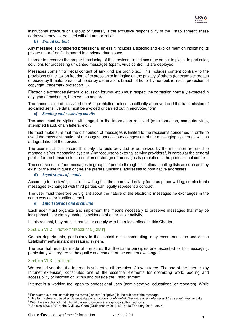

institutional structure or a group of "users", is the exclusive responsibility of the Establishment: these addresses may not be used without authorization.

#### **b)** *E-mail Content*

Any message is considered professional unless it includes a specific and explicit mention indicating its private nature<sup>7</sup> or if it is stored in a private data space.

In order to preserve the proper functioning of the services, limitations may be put in place. In particular, solutions for processing unwanted messages (spam, virus control ...) are deployed.

Messages containing illegal content of any kind are prohibited. This includes content contrary to the provisions of the law on freedom of expression or infringing on the privacy of others (for example: breach of peace by threats, breach of honor by defamation, breach of honor by non-public insult, protection of copyright, trademark protection ...).

Electronic exchanges (letters, discussion forums, etc.) must respect the correction normally expected in any type of exchange, both written and oral.

The transmission of classified data<sup>8</sup> is prohibited unless specifically approved and the transmission of so-called sensitive data must be avoided or carried out in encrypted form.

#### **c)** *Sending and receiving emails*

The user must be vigilant with regard to the information received (misinformation, computer virus, attempted fraud, chain letters, etc.).

He must make sure that the distribution of messages is limited to the recipients concerned in order to avoid the mass distribution of messages, unnecessary congestion of the messaging system as well as a degradation of the service.

The user must also ensure that only the tools provided or authorized by the institution are used to manage his/her messaging system. Any recourse to external service providers<sup>9</sup>, in particular the general public, for the transmission, reception or storage of messages is prohibited in the professional context.

The user sends his/her messages to groups of people through institutional mailing lists as soon as they exist for the use in question; he/she prefers functional addresses to nominative addresses

#### **d)** *Legal status of emails*

According to the law<sup>10</sup>, electronic writing has the same evidentiary force as paper writing, so electronic messages exchanged with third parties can legally represent a contract.

The user must therefore be vigilant about the nature of the electronic messages he exchanges in the same way as for traditional mail.

#### **e)** *Email storage and archiving*

Each user must organize and implement the means necessary to preserve messages that may be indispensable or simply useful as evidence of a particular activity.

In this respect, they must in particular comply with the rules defined in this Charter.

#### Section VI.2 INSTANT MESSENGER (CHAT)

Certain departments, particularly in the context of telecommuting, may recommend the use of the Establishment's instant messaging system.

The use that must be made of it ensures that the same principles are respected as for messaging, particularly with regard to the quality and content of the content exchanged.

#### Section VI.3 INTERNET

We remind you that the Internet is subject to all the rules of law in force. The use of the Internet (by Intranet extension) constitutes one of the essential elements for optimizing work, pooling and accessibility of information within and outside the Establishment.

Internet is a working tool open to professional uses (administrative, educational or research). While

 $<sup>7</sup>$  For example, e-mail containing the terms ("private" or "prive") in the subject of the message</sup>

 $^8$  This term refers to classified defence data which covers *confidentiel défense, secret défense* and *très secret défense* data <sup>9</sup> With the exception of institutional partner providers and explicitly authorized tools.

<sup>10</sup> Articles 1366-1367 of the Civil Law Code (Ordinance n°2016-131 of 10 February 2016 - art. 4)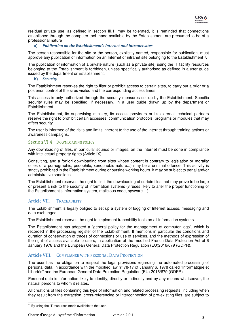

residual private use, as defined in section III.1, may be tolerated, it is reminded that connections established through the computer tool made available by the Establishment are presumed to be of a professional nature

#### **a)** *Publication on the Establishment's Internet and Intranet sites*

The person responsible for the site or the person, explicitly named, responsible for publication, must approve any publication of information on an Internet or intranet site belonging to the Establishment<sup>11</sup>.

The publication of information of a private nature (such as a private site) using the IT facility resources belonging to the Establishment is forbidden, unless specifically authorised as defined in a user guide issued by the department or Establishment.

#### **b)** *Security*

The Establishment reserves the right to filter or prohibit access to certain sites, to carry out a prior or a posteriori control of the sites visited and the corresponding access times.

This access is only authorized through the security measures set up by the Establishment. Specific security rules may be specified, if necessary, in a user guide drawn up by the department or Establishment.

The Establishment, its supervising ministry, its access providers or its external technical partners reserve the right to prohibit certain accesses, communication protocols, programs or modules that may affect security.

The user is informed of the risks and limits inherent to the use of the Internet through training actions or awareness campaigns.

#### Section VI.4 DOWNLOADING POLICY

Any downloading of files, in particular sounds or images, on the Internet must be done in compliance with intellectual property rights (Article IX).

Consulting, and a fortiori downloading from sites whose content is contrary to legislation or morality (sites of a pornographic, pedophile, xenophobic nature...) may be a criminal offence. This activity is strictly prohibited in the Establishment during or outside working hours. It may be subject to penal and/or administrative sanctions.

The Establishment reserves the right to limit the downloading of certain files that may prove to be large or present a risk to the security of information systems (viruses likely to alter the proper functioning of the Establishment's information system, malicious code, spyware ...).

#### Article VII. TRACEABILITY

The Establishment is legally obliged to set up a system of logging of Internet access, messaging and data exchanged.

The Establishment reserves the right to implement traceability tools on all information systems.

The Establishment has adopted a "general policy for the management of computer logs", which is recorded in the processing register of the Establishment. It mentions in particular the conditions and duration of conservation of traces of connections or use of services, and the methods of expression of the right of access available to users, in application of the modified French Data Protection Act of 6 January 1978 and the European General Data Protection Regulation (EU)2016/679 (GDPR).

#### Article VIII. COMPLIANCE WITH PERSONAL DATA PROTECTION

The user has the obligation to respect the legal provisions regarding the automated processing of personal data, in accordance with the modified law n° 78-17 of January 6, 1978 called "Informatique et Libertés" and the European General Data Protection Regulation (EU) 2016/679 (GDPR).

Personal data is information likely to identify, directly or indirectly and by any means whatsoever, the natural persons to whom it relates.

All creations of files containing this type of information and related processing requests, including when they result from the extraction, cross-referencing or interconnection of pre-existing files, are subject to

 <sup>11</sup> By using the IT resources made available to the user.